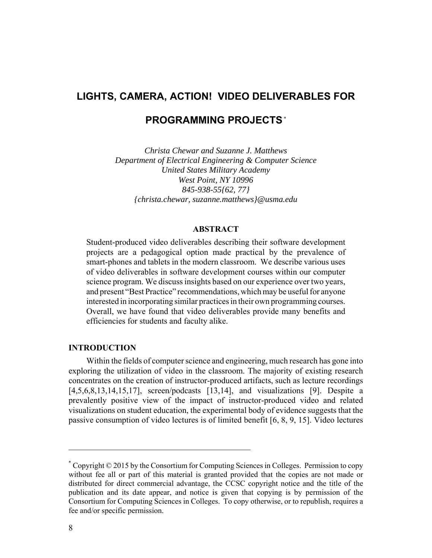# **LIGHTS, CAMERA, ACTION! VIDEO DELIVERABLES FOR**

## **PROGRAMMING PROJECTS** \*

*Christa Chewar and Suzanne J. Matthews Department of Electrical Engineering & Computer Science United States Military Academy West Point, NY 10996 845-938-55{62, 77} {christa.chewar, suzanne.matthews}@usma.edu*

## **ABSTRACT**

Student-produced video deliverables describing their software development projects are a pedagogical option made practical by the prevalence of smart-phones and tablets in the modern classroom. We describe various uses of video deliverables in software development courses within our computer science program. We discuss insights based on our experience over two years, and present "Best Practice" recommendations, which may be useful for anyone interested in incorporating similar practices in their own programming courses. Overall, we have found that video deliverables provide many benefits and efficiencies for students and faculty alike.

## **INTRODUCTION**

Within the fields of computer science and engineering, much research has gone into exploring the utilization of video in the classroom. The majority of existing research concentrates on the creation of instructor-produced artifacts, such as lecture recordings [4,5,6,8,13,14,15,17], screen/podcasts [13,14], and visualizations [9]. Despite a prevalently positive view of the impact of instructor-produced video and related visualizations on student education, the experimental body of evidence suggests that the passive consumption of video lectures is of limited benefit [6, 8, 9, 15]. Video lectures

 $\mathcal{L}_\text{max}$  , and the contract of the contract of the contract of the contract of the contract of the contract of the contract of the contract of the contract of the contract of the contract of the contract of the contr

<sup>\*</sup> Copyright © 2015 by the Consortium for Computing Sciences in Colleges. Permission to copy without fee all or part of this material is granted provided that the copies are not made or distributed for direct commercial advantage, the CCSC copyright notice and the title of the publication and its date appear, and notice is given that copying is by permission of the Consortium for Computing Sciences in Colleges. To copy otherwise, or to republish, requires a fee and/or specific permission.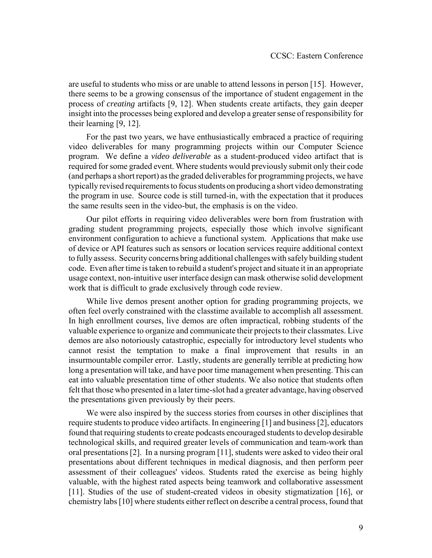are useful to students who miss or are unable to attend lessons in person [15]. However, there seems to be a growing consensus of the importance of student engagement in the process of *creating* artifacts [9, 12]. When students create artifacts, they gain deeper insight into the processes being explored and develop a greater sense of responsibility for their learning [9, 12].

For the past two years, we have enthusiastically embraced a practice of requiring video deliverables for many programming projects within our Computer Science program. We define a *video deliverable* as a student-produced video artifact that is required for some graded event. Where students would previously submit only their code (and perhaps a short report) as the graded deliverables for programming projects, we have typically revised requirements to focus students on producing a short video demonstrating the program in use. Source code is still turned-in, with the expectation that it produces the same results seen in the video-but, the emphasis is on the video.

Our pilot efforts in requiring video deliverables were born from frustration with grading student programming projects, especially those which involve significant environment configuration to achieve a functional system. Applications that make use of device or API features such as sensors or location services require additional context to fully assess. Security concerns bring additional challenges with safely building student code. Even after time is taken to rebuild a student's project and situate it in an appropriate usage context, non-intuitive user interface design can mask otherwise solid development work that is difficult to grade exclusively through code review.

While live demos present another option for grading programming projects, we often feel overly constrained with the classtime available to accomplish all assessment. In high enrollment courses, live demos are often impractical, robbing students of the valuable experience to organize and communicate their projects to their classmates. Live demos are also notoriously catastrophic, especially for introductory level students who cannot resist the temptation to make a final improvement that results in an insurmountable compiler error. Lastly, students are generally terrible at predicting how long a presentation will take, and have poor time management when presenting. This can eat into valuable presentation time of other students. We also notice that students often felt that those who presented in a later time-slot had a greater advantage, having observed the presentations given previously by their peers.

We were also inspired by the success stories from courses in other disciplines that require students to produce video artifacts. In engineering [1] and business [2], educators found that requiring students to create podcasts encouraged students to develop desirable technological skills, and required greater levels of communication and team-work than oral presentations [2]. In a nursing program [11], students were asked to video their oral presentations about different techniques in medical diagnosis, and then perform peer assessment of their colleagues' videos. Students rated the exercise as being highly valuable, with the highest rated aspects being teamwork and collaborative assessment [11]. Studies of the use of student-created videos in obesity stigmatization [16], or chemistry labs [10] where students either reflect on describe a central process, found that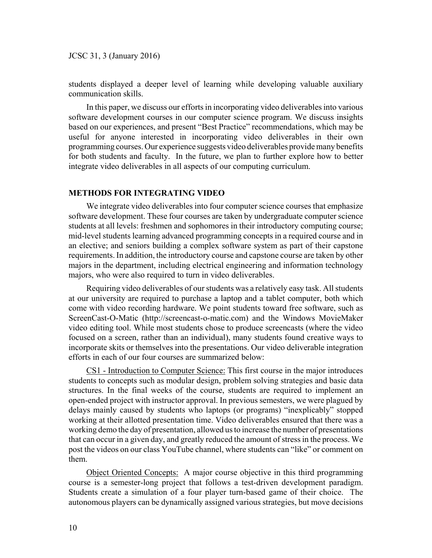JCSC 31, 3 (January 2016)

students displayed a deeper level of learning while developing valuable auxiliary communication skills.

In this paper, we discuss our efforts in incorporating video deliverables into various software development courses in our computer science program. We discuss insights based on our experiences, and present "Best Practice" recommendations, which may be useful for anyone interested in incorporating video deliverables in their own programming courses. Our experience suggests video deliverables provide many benefits for both students and faculty. In the future, we plan to further explore how to better integrate video deliverables in all aspects of our computing curriculum.

#### **METHODS FOR INTEGRATING VIDEO**

We integrate video deliverables into four computer science courses that emphasize software development. These four courses are taken by undergraduate computer science students at all levels: freshmen and sophomores in their introductory computing course; mid-level students learning advanced programming concepts in a required course and in an elective; and seniors building a complex software system as part of their capstone requirements. In addition, the introductory course and capstone course are taken by other majors in the department, including electrical engineering and information technology majors, who were also required to turn in video deliverables.

Requiring video deliverables of our students was a relatively easy task. All students at our university are required to purchase a laptop and a tablet computer, both which come with video recording hardware. We point students toward free software, such as ScreenCast-O-Matic (http://screencast-o-matic.com) and the Windows MovieMaker video editing tool. While most students chose to produce screencasts (where the video focused on a screen, rather than an individual), many students found creative ways to incorporate skits or themselves into the presentations. Our video deliverable integration efforts in each of our four courses are summarized below:

CS1 - Introduction to Computer Science: This first course in the major introduces students to concepts such as modular design, problem solving strategies and basic data structures. In the final weeks of the course, students are required to implement an open-ended project with instructor approval. In previous semesters, we were plagued by delays mainly caused by students who laptops (or programs) "inexplicably" stopped working at their allotted presentation time. Video deliverables ensured that there was a working demo the day of presentation, allowed us to increase the number of presentations that can occur in a given day, and greatly reduced the amount of stress in the process. We post the videos on our class YouTube channel, where students can "like" or comment on them.

Object Oriented Concepts: A major course objective in this third programming course is a semester-long project that follows a test-driven development paradigm. Students create a simulation of a four player turn-based game of their choice. The autonomous players can be dynamically assigned various strategies, but move decisions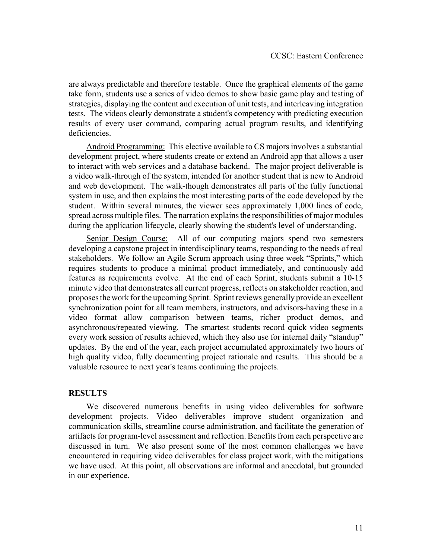are always predictable and therefore testable. Once the graphical elements of the game take form, students use a series of video demos to show basic game play and testing of strategies, displaying the content and execution of unit tests, and interleaving integration tests. The videos clearly demonstrate a student's competency with predicting execution results of every user command, comparing actual program results, and identifying deficiencies.

Android Programming: This elective available to CS majors involves a substantial development project, where students create or extend an Android app that allows a user to interact with web services and a database backend. The major project deliverable is a video walk-through of the system, intended for another student that is new to Android and web development. The walk-though demonstrates all parts of the fully functional system in use, and then explains the most interesting parts of the code developed by the student. Within several minutes, the viewer sees approximately 1,000 lines of code, spread across multiple files. The narration explains the responsibilities of major modules during the application lifecycle, clearly showing the student's level of understanding.

Senior Design Course: All of our computing majors spend two semesters developing a capstone project in interdisciplinary teams, responding to the needs of real stakeholders. We follow an Agile Scrum approach using three week "Sprints," which requires students to produce a minimal product immediately, and continuously add features as requirements evolve. At the end of each Sprint, students submit a 10-15 minute video that demonstrates all current progress, reflects on stakeholder reaction, and proposes the work for the upcoming Sprint. Sprint reviews generally provide an excellent synchronization point for all team members, instructors, and advisors-having these in a video format allow comparison between teams, richer product demos, and asynchronous/repeated viewing. The smartest students record quick video segments every work session of results achieved, which they also use for internal daily "standup" updates. By the end of the year, each project accumulated approximately two hours of high quality video, fully documenting project rationale and results. This should be a valuable resource to next year's teams continuing the projects.

## **RESULTS**

We discovered numerous benefits in using video deliverables for software development projects. Video deliverables improve student organization and communication skills, streamline course administration, and facilitate the generation of artifacts for program-level assessment and reflection. Benefits from each perspective are discussed in turn. We also present some of the most common challenges we have encountered in requiring video deliverables for class project work, with the mitigations we have used. At this point, all observations are informal and anecdotal, but grounded in our experience.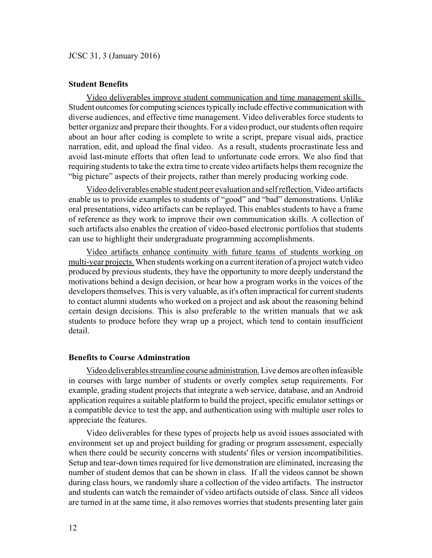JCSC 31, 3 (January 2016)

### **Student Benefits**

Video deliverables improve student communication and time management skills. Student outcomes for computing sciences typically include effective communication with diverse audiences, and effective time management. Video deliverables force students to better organize and prepare their thoughts. For a video product, our students often require about an hour after coding is complete to write a script, prepare visual aids, practice narration, edit, and upload the final video. As a result, students procrastinate less and avoid last-minute efforts that often lead to unfortunate code errors. We also find that requiring students to take the extra time to create video artifacts helps them recognize the "big picture" aspects of their projects, rather than merely producing working code.

Video deliverables enable student peer evaluation and self reflection. Video artifacts enable us to provide examples to students of "good" and "bad" demonstrations. Unlike oral presentations, video artifacts can be replayed. This enables students to have a frame of reference as they work to improve their own communication skills. A collection of such artifacts also enables the creation of video-based electronic portfolios that students can use to highlight their undergraduate programming accomplishments.

Video artifacts enhance continuity with future teams of students working on multi-year projects. When students working on a current iteration of a project watch video produced by previous students, they have the opportunity to more deeply understand the motivations behind a design decision, or hear how a program works in the voices of the developers themselves. This is very valuable, as it's often impractical for current students to contact alumni students who worked on a project and ask about the reasoning behind certain design decisions. This is also preferable to the written manuals that we ask students to produce before they wrap up a project, which tend to contain insufficient detail.

#### **Benefits to Course Adminstration**

Video deliverables streamline course administration. Live demos are often infeasible in courses with large number of students or overly complex setup requirements. For example, grading student projects that integrate a web service, database, and an Android application requires a suitable platform to build the project, specific emulator settings or a compatible device to test the app, and authentication using with multiple user roles to appreciate the features.

Video deliverables for these types of projects help us avoid issues associated with environment set up and project building for grading or program assessment, especially when there could be security concerns with students' files or version incompatibilities. Setup and tear-down times required for live demonstration are eliminated, increasing the number of student demos that can be shown in class. If all the videos cannot be shown during class hours, we randomly share a collection of the video artifacts. The instructor and students can watch the remainder of video artifacts outside of class. Since all videos are turned in at the same time, it also removes worries that students presenting later gain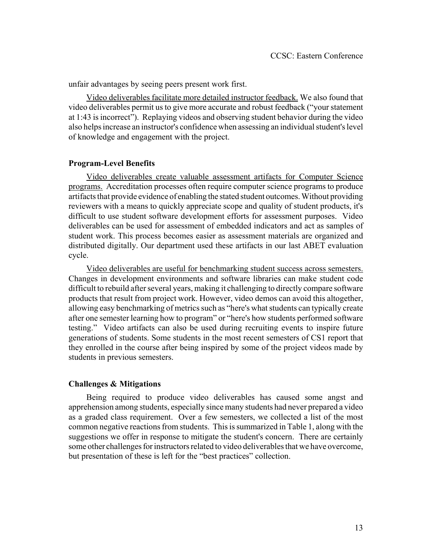unfair advantages by seeing peers present work first.

Video deliverables facilitate more detailed instructor feedback. We also found that video deliverables permit us to give more accurate and robust feedback ("your statement at 1:43 is incorrect"). Replaying videos and observing student behavior during the video also helps increase an instructor's confidence when assessing an individual student's level of knowledge and engagement with the project.

## **Program-Level Benefits**

Video deliverables create valuable assessment artifacts for Computer Science programs. Accreditation processes often require computer science programs to produce artifacts that provide evidence of enabling the stated student outcomes. Without providing reviewers with a means to quickly appreciate scope and quality of student products, it's difficult to use student software development efforts for assessment purposes. Video deliverables can be used for assessment of embedded indicators and act as samples of student work. This process becomes easier as assessment materials are organized and distributed digitally. Our department used these artifacts in our last ABET evaluation cycle.

Video deliverables are useful for benchmarking student success across semesters. Changes in development environments and software libraries can make student code difficult to rebuild after several years, making it challenging to directly compare software products that result from project work. However, video demos can avoid this altogether, allowing easy benchmarking of metrics such as "here's what students can typically create after one semester learning how to program" or "here's how students performed software testing." Video artifacts can also be used during recruiting events to inspire future generations of students. Some students in the most recent semesters of CS1 report that they enrolled in the course after being inspired by some of the project videos made by students in previous semesters.

## **Challenges & Mitigations**

Being required to produce video deliverables has caused some angst and apprehension among students, especially since many students had never prepared a video as a graded class requirement. Over a few semesters, we collected a list of the most common negative reactions from students. This is summarized in Table 1, along with the suggestions we offer in response to mitigate the student's concern. There are certainly some other challenges for instructors related to video deliverables that we have overcome, but presentation of these is left for the "best practices" collection.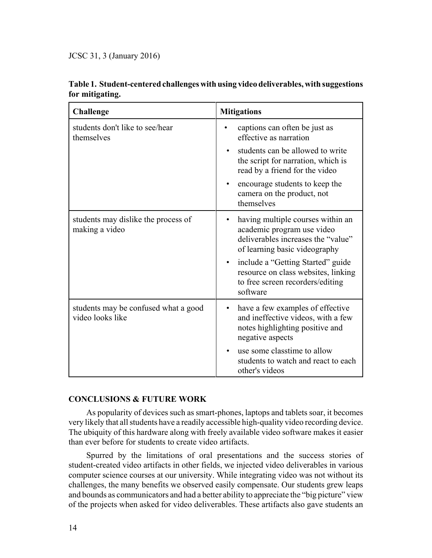JCSC 31, 3 (January 2016)

| <b>Challenge</b>                                         | <b>Mitigations</b>                                                                                                                                  |
|----------------------------------------------------------|-----------------------------------------------------------------------------------------------------------------------------------------------------|
| students don't like to see/hear<br>themselves            | captions can often be just as<br>effective as narration                                                                                             |
|                                                          | students can be allowed to write<br>the script for narration, which is<br>read by a friend for the video                                            |
|                                                          | encourage students to keep the<br>camera on the product, not<br>themselves                                                                          |
| students may dislike the process of<br>making a video    | having multiple courses within an<br>$\bullet$<br>academic program use video<br>deliverables increases the "value"<br>of learning basic videography |
|                                                          | include a "Getting Started" guide<br>$\bullet$<br>resource on class websites, linking<br>to free screen recorders/editing<br>software               |
| students may be confused what a good<br>video looks like | have a few examples of effective<br>٠<br>and ineffective videos, with a few<br>notes highlighting positive and<br>negative aspects                  |
|                                                          | use some classtime to allow<br>$\bullet$<br>students to watch and react to each<br>other's videos                                                   |

## **Table 1. Student-centered challenges with using video deliverables, with suggestions for mitigating.**

## **CONCLUSIONS & FUTURE WORK**

As popularity of devices such as smart-phones, laptops and tablets soar, it becomes very likely that all students have a readily accessible high-quality video recording device. The ubiquity of this hardware along with freely available video software makes it easier than ever before for students to create video artifacts.

Spurred by the limitations of oral presentations and the success stories of student-created video artifacts in other fields, we injected video deliverables in various computer science courses at our university. While integrating video was not without its challenges, the many benefits we observed easily compensate. Our students grew leaps and bounds as communicators and had a better ability to appreciate the "big picture" view of the projects when asked for video deliverables. These artifacts also gave students an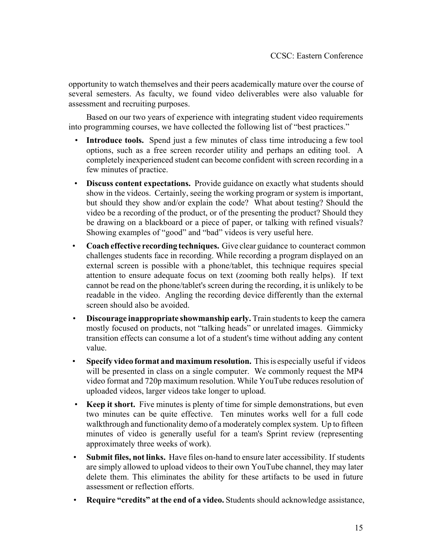opportunity to watch themselves and their peers academically mature over the course of several semesters. As faculty, we found video deliverables were also valuable for assessment and recruiting purposes.

Based on our two years of experience with integrating student video requirements into programming courses, we have collected the following list of "best practices."

- **Introduce tools.** Spend just a few minutes of class time introducing a few tool options, such as a free screen recorder utility and perhaps an editing tool. A completely inexperienced student can become confident with screen recording in a few minutes of practice.
- **Discuss content expectations.** Provide guidance on exactly what students should show in the videos. Certainly, seeing the working program or system is important, but should they show and/or explain the code? What about testing? Should the video be a recording of the product, or of the presenting the product? Should they be drawing on a blackboard or a piece of paper, or talking with refined visuals? Showing examples of "good" and "bad" videos is very useful here.
- **Coach effective recording techniques.** Give clear guidance to counteract common challenges students face in recording. While recording a program displayed on an external screen is possible with a phone/tablet, this technique requires special attention to ensure adequate focus on text (zooming both really helps). If text cannot be read on the phone/tablet's screen during the recording, it is unlikely to be readable in the video. Angling the recording device differently than the external screen should also be avoided.
- **Discourage inappropriate showmanship early.** Train students to keep the camera mostly focused on products, not "talking heads" or unrelated images. Gimmicky transition effects can consume a lot of a student's time without adding any content value.
- **Specify video format and maximum resolution.** This is especially useful if videos will be presented in class on a single computer. We commonly request the MP4 video format and 720p maximum resolution. While YouTube reduces resolution of uploaded videos, larger videos take longer to upload.
- **Keep it short.** Five minutes is plenty of time for simple demonstrations, but even two minutes can be quite effective. Ten minutes works well for a full code walkthrough and functionality demo of a moderately complex system. Up to fifteen minutes of video is generally useful for a team's Sprint review (representing approximately three weeks of work).
- **Submit files, not links.** Have files on-hand to ensure later accessibility. If students are simply allowed to upload videos to their own YouTube channel, they may later delete them. This eliminates the ability for these artifacts to be used in future assessment or reflection efforts.
- **Require "credits" at the end of a video.** Students should acknowledge assistance,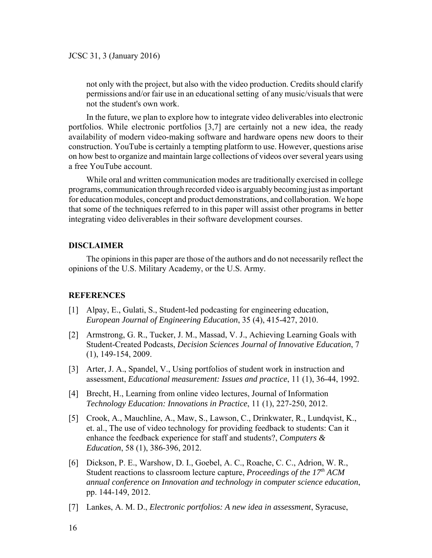not only with the project, but also with the video production. Credits should clarify permissions and/or fair use in an educational setting of any music/visuals that were not the student's own work.

In the future, we plan to explore how to integrate video deliverables into electronic portfolios. While electronic portfolios [3,7] are certainly not a new idea, the ready availability of modern video-making software and hardware opens new doors to their construction. YouTube is certainly a tempting platform to use. However, questions arise on how best to organize and maintain large collections of videos over several years using a free YouTube account.

While oral and written communication modes are traditionally exercised in college programs, communication through recorded video is arguably becoming just as important for education modules, concept and product demonstrations, and collaboration. We hope that some of the techniques referred to in this paper will assist other programs in better integrating video deliverables in their software development courses.

## **DISCLAIMER**

The opinions in this paper are those of the authors and do not necessarily reflect the opinions of the U.S. Military Academy, or the U.S. Army.

## **REFERENCES**

- [1] Alpay, E., Gulati, S., Student-led podcasting for engineering education, *European Journal of Engineering Education*, 35 (4), 415-427, 2010.
- [2] Armstrong, G. R., Tucker, J. M., Massad, V. J., Achieving Learning Goals with Student-Created Podcasts, *Decision Sciences Journal of Innovative Education*, 7 (1), 149-154, 2009.
- [3] Arter, J. A., Spandel, V., Using portfolios of student work in instruction and assessment, *Educational measurement: Issues and practice*, 11 (1), 36-44, 1992.
- [4] Brecht, H., Learning from online video lectures, Journal of Information *Technology Education: Innovations in Practice*, 11 (1), 227-250, 2012.
- [5] Crook, A., Mauchline, A., Maw, S., Lawson, C., Drinkwater, R., Lundqvist, K., et. al., The use of video technology for providing feedback to students: Can it enhance the feedback experience for staff and students?, *Computers & Education*, 58 (1), 386-396, 2012.
- [6] Dickson, P. E., Warshow, D. I., Goebel, A. C., Roache, C. C., Adrion, W. R., Student reactions to classroom lecture capture, *Proceedings of the 17<sup>th</sup> ACM annual conference on Innovation and technology in computer science education*, pp. 144-149, 2012.
- [7] Lankes, A. M. D., *Electronic portfolios: A new idea in assessment*, Syracuse,
- 16